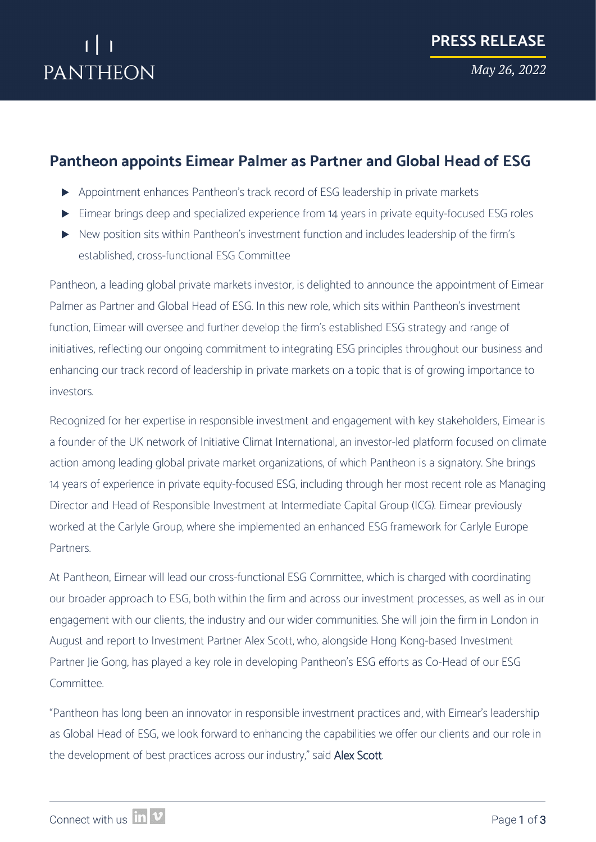

## **Pantheon appoints Eimear Palmer as Partner and Global Head of ESG**

- Appointment enhances Pantheon's track record of ESG leadership in private markets
- Eimear brings deep and specialized experience from 14 years in private equity-focused ESG roles
- New position sits within Pantheon's investment function and includes leadership of the firm's established, cross-functional ESG Committee

Pantheon, a leading global private markets investor, is delighted to announce the appointment of Eimear Palmer as Partner and Global Head of ESG. In this new role, which sits within Pantheon's investment function, Eimear will oversee and further develop the firm's established ESG strategy and range of initiatives, reflecting our ongoing commitment to integrating ESG principles throughout our business and enhancing our track record of leadership in private markets on a topic that is of growing importance to investors.

Recognized for her expertise in responsible investment and engagement with key stakeholders, Eimear is a founder of the UK network of Initiative Climat International, an investor-led platform focused on climate action among leading global private market organizations, of which Pantheon is a signatory. She brings 14 years of experience in private equity-focused ESG, including through her most recent role as Managing Director and Head of Responsible Investment at Intermediate Capital Group (ICG). Eimear previously worked at the Carlyle Group, where she implemented an enhanced ESG framework for Carlyle Europe Partners.

At Pantheon, Eimear will lead our cross-functional ESG Committee, which is charged with coordinating our broader approach to ESG, both within the firm and across our investment processes, as well as in our engagement with our clients, the industry and our wider communities. She will join the firm in London in August and report to Investment Partner Alex Scott, who, alongside Hong Kong-based Investment Partner Jie Gong, has played a key role in developing Pantheon's ESG efforts as Co-Head of our ESG Committee.

"Pantheon has long been an innovator in responsible investment practices and, with Eimear's leadership as Global Head of ESG, we look forward to enhancing the capabilities we offer our clients and our role in the development of best practices across our industry," said Alex Scott.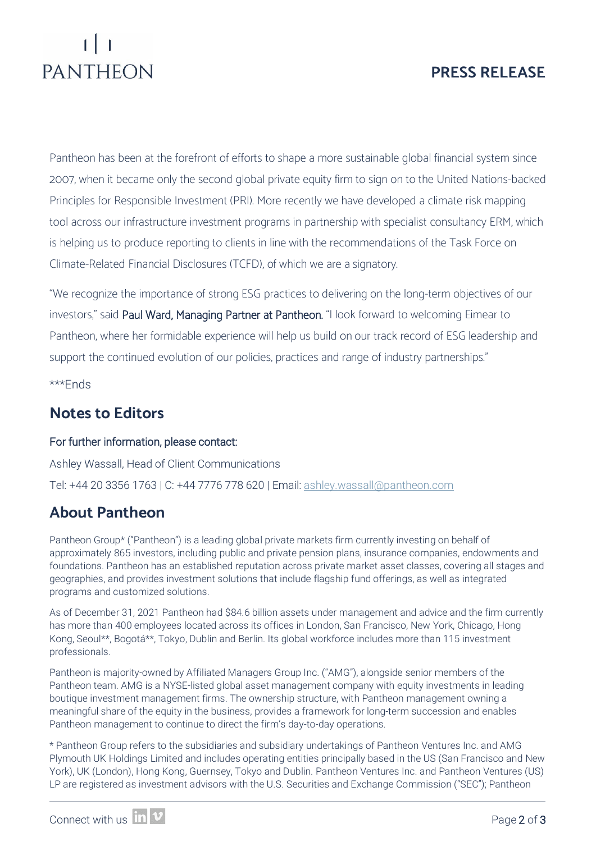# **PRESS RELEASE**

# PANTHEON

Pantheon has been at the forefront of efforts to shape a more sustainable global financial system since 2007, when it became only the second global private equity firm to sign on to the United Nations-backed Principles for Responsible Investment (PRI). More recently we have developed a climate risk mapping tool across our infrastructure investment programs in partnership with specialist consultancy ERM, which is helping us to produce reporting to clients in line with the recommendations of the Task Force on Climate-Related Financial Disclosures (TCFD), of which we are a signatory.

"We recognize the importance of strong ESG practices to delivering on the long-term objectives of our investors," said Paul Ward, Managing Partner at Pantheon. "I look forward to welcoming Eimear to Pantheon, where her formidable experience will help us build on our track record of ESG leadership and support the continued evolution of our policies, practices and range of industry partnerships."

\*\*\*Ends

# **Notes to Editors**

#### For further information, please contact:

Ashley Wassall, Head of Client Communications Tel: +44 20 3356 1763 | C: +44 7776 778 620 | Email: [ashley.wassall@pantheon.com](mailto:ashley.wassall@pantheon.com) 

# **About Pantheon**

Pantheon Group\* ("Pantheon") is a leading global private markets firm currently investing on behalf of approximately 865 investors, including public and private pension plans, insurance companies, endowments and foundations. Pantheon has an established reputation across private market asset classes, covering all stages and geographies, and provides investment solutions that include flagship fund offerings, as well as integrated programs and customized solutions.

As of December 31, 2021 Pantheon had \$84.6 billion assets under management and advice and the firm currently has more than 400 employees located across its offices in London, San Francisco, New York, Chicago, Hong Kong, Seoul\*\*, Bogotá\*\*, Tokyo, Dublin and Berlin. Its global workforce includes more than 115 investment professionals.

Pantheon is majority-owned by Affiliated Managers Group Inc. ("AMG"), alongside senior members of the Pantheon team. AMG is a NYSE-listed global asset management company with equity investments in leading boutique investment management firms. The ownership structure, with Pantheon management owning a meaningful share of the equity in the business, provides a framework for long-term succession and enables Pantheon management to continue to direct the firm's day-to-day operations.

\* Pantheon Group refers to the subsidiaries and subsidiary undertakings of Pantheon Ventures Inc. and AMG Plymouth UK Holdings Limited and includes operating entities principally based in the US (San Francisco and New York), UK (London), Hong Kong, Guernsey, Tokyo and Dublin. Pantheon Ventures Inc. and Pantheon Ventures (US) LP are registered as investment advisors with the U.S. Securities and Exchange Commission ("SEC"); Pantheon